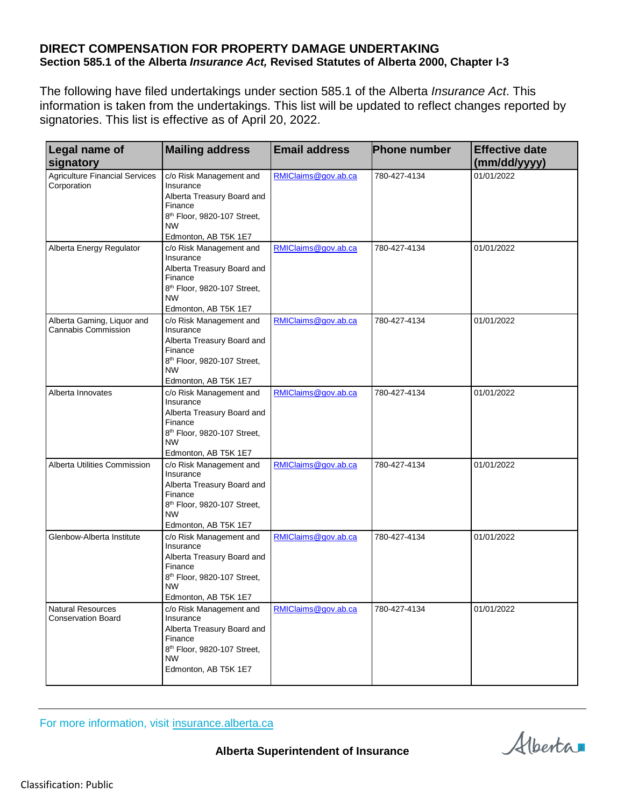## **DIRECT COMPENSATION FOR PROPERTY DAMAGE UNDERTAKING Section 585.1 of the Alberta** *Insurance Act,* **Revised Statutes of Alberta 2000, Chapter I-3**

The following have filed undertakings under section 585.1 of the Alberta *Insurance Act*. This information is taken from the undertakings. This list will be updated to reflect changes reported by signatories. This list is effective as of April 20, 2022.

| <b>Legal name of</b>                                  | <b>Mailing address</b>                                             | <b>Email address</b> | <b>Phone number</b> | <b>Effective date</b> |
|-------------------------------------------------------|--------------------------------------------------------------------|----------------------|---------------------|-----------------------|
| signatory                                             |                                                                    |                      |                     | (mm/dd/yyyy)          |
| <b>Agriculture Financial Services</b><br>Corporation  | c/o Risk Management and<br>Insurance<br>Alberta Treasury Board and | RMIClaims@gov.ab.ca  | 780-427-4134        | 01/01/2022            |
|                                                       | Finance                                                            |                      |                     |                       |
|                                                       | 8 <sup>th</sup> Floor, 9820-107 Street,<br><b>NW</b>               |                      |                     |                       |
|                                                       | Edmonton, AB T5K 1E7                                               |                      |                     |                       |
| Alberta Energy Regulator                              | c/o Risk Management and<br>Insurance                               | RMIClaims@gov.ab.ca  | 780-427-4134        | 01/01/2022            |
|                                                       | Alberta Treasury Board and<br>Finance                              |                      |                     |                       |
|                                                       | 8 <sup>th</sup> Floor, 9820-107 Street,<br><b>NW</b>               |                      |                     |                       |
|                                                       | Edmonton, AB T5K 1E7                                               |                      |                     |                       |
| Alberta Gaming, Liquor and<br>Cannabis Commission     | c/o Risk Management and<br>Insurance                               | RMIClaims@gov.ab.ca  | 780-427-4134        | 01/01/2022            |
|                                                       | Alberta Treasury Board and<br>Finance                              |                      |                     |                       |
|                                                       | 8 <sup>th</sup> Floor, 9820-107 Street,<br><b>NW</b>               |                      |                     |                       |
|                                                       | Edmonton, AB T5K 1E7                                               |                      |                     |                       |
| Alberta Innovates                                     | c/o Risk Management and<br>Insurance                               | RMIClaims@gov.ab.ca  | 780-427-4134        | 01/01/2022            |
|                                                       | Alberta Treasury Board and<br>Finance                              |                      |                     |                       |
|                                                       | 8 <sup>th</sup> Floor, 9820-107 Street,<br><b>NW</b>               |                      |                     |                       |
|                                                       | Edmonton, AB T5K 1E7                                               |                      |                     |                       |
| Alberta Utilities Commission                          | c/o Risk Management and<br>Insurance                               | RMIClaims@gov.ab.ca  | 780-427-4134        | 01/01/2022            |
|                                                       | Alberta Treasury Board and<br>Finance                              |                      |                     |                       |
|                                                       | 8 <sup>th</sup> Floor, 9820-107 Street,<br><b>NW</b>               |                      |                     |                       |
|                                                       | Edmonton, AB T5K 1E7                                               |                      |                     |                       |
| Glenbow-Alberta Institute                             | c/o Risk Management and<br>Insurance                               | RMIClaims@gov.ab.ca  | 780-427-4134        | 01/01/2022            |
|                                                       | Alberta Treasury Board and<br>Finance                              |                      |                     |                       |
|                                                       | 8 <sup>th</sup> Floor, 9820-107 Street,<br><b>NW</b>               |                      |                     |                       |
|                                                       | Edmonton, AB T5K 1E7                                               |                      |                     |                       |
| <b>Natural Resources</b><br><b>Conservation Board</b> | c/o Risk Management and<br>Insurance                               | RMIClaims@gov.ab.ca  | 780-427-4134        | 01/01/2022            |
|                                                       | Alberta Treasury Board and                                         |                      |                     |                       |
|                                                       | Finance<br>8 <sup>th</sup> Floor, 9820-107 Street,                 |                      |                     |                       |
|                                                       | <b>NW</b><br>Edmonton, AB T5K 1E7                                  |                      |                     |                       |
|                                                       |                                                                    |                      |                     |                       |

For more information, visit [insurance.alberta.ca](http://insurance.alberta.ca/)

**Alberta Superintendent of Insurance**

Alberta